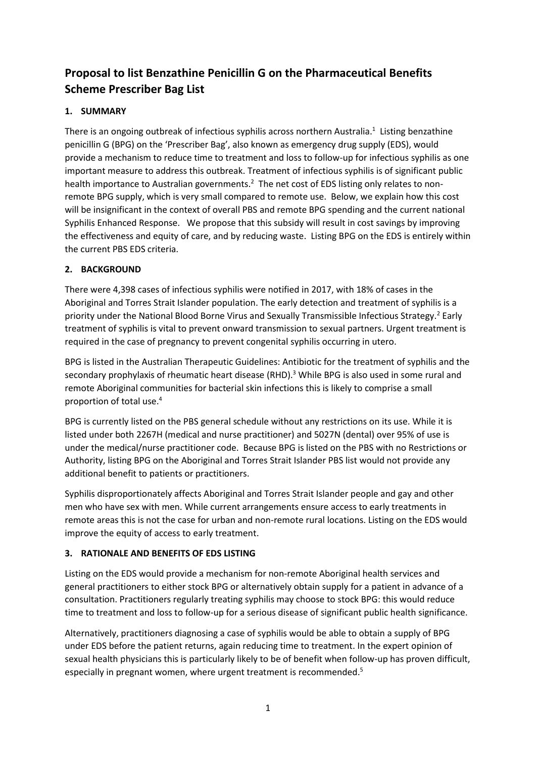# **Proposal to list Benzathine Penicillin G on the Pharmaceutical Benefits Scheme Prescriber Bag List**

# **1. SUMMARY**

<span id="page-0-0"></span>There is an ongoing outbreak of infectious syphilis across northern Australia.<sup>1</sup> Listing benzathine penicillin G (BPG) on the 'Prescriber Bag', also known as emergency drug supply (EDS), would provide a mechanism to reduce time to treatment and loss to follow-up for infectious syphilis as one important measure to address this outbreak. Treatment of infectious syphilis is of significant public health importance to Australian governments.<sup>2</sup> The net cost of EDS listing only relates to nonremote BPG supply, which is very small compared to remote use. Below, we explain how this cost will be insignificant in the context of overall PBS and remote BPG spending and the current national Syphilis Enhanced Response. We propose that this subsidy will result in cost savings by improving the effectiveness and equity of care, and by reducing waste. Listing BPG on the EDS is entirely within the current PBS EDS criteria.

# **2. BACKGROUND**

There were 4,398 cases of infectious syphilis were notified in 2017, with 18% of cases in the Aboriginal and Torres Strait Islander population. The early detection and treatment of syphilis is a priority under the National Blood Borne Virus and Sexually Transmissible Infectious Strategy.<sup>2</sup> Early treatment of syphilis is vital to prevent onward transmission to sexual partners. Urgent treatment is required in the case of pregnancy to prevent congenital syphilis occurring in utero.

BPG is listed in the Australian Therapeutic Guidelines: Antibiotic for the treatment of syphilis and the secondary prophylaxis of rheumatic heart disease (RHD).<sup>3</sup> While BPG is also used in some rural and remote Aboriginal communities for bacterial skin infections this is likely to comprise a small proportion of total use.<sup>4</sup>

BPG is currently listed on the PBS general schedule without any restrictions on its use. While it is listed under both 2267H (medical and nurse practitioner) and 5027N (dental) over 95% of use is under the medical/nurse practitioner code. Because BPG is listed on the PBS with no Restrictions or Authority, listing BPG on the Aboriginal and Torres Strait Islander PBS list would not provide any additional benefit to patients or practitioners.

Syphilis disproportionately affects Aboriginal and Torres Strait Islander people and gay and other men who have sex with men. While current arrangements ensure access to early treatments in remote areas this is not the case for urban and non-remote rural locations. Listing on the EDS would improve the equity of access to early treatment.

# **3. RATIONALE AND BENEFITS OF EDS LISTING**

Listing on the EDS would provide a mechanism for non-remote Aboriginal health services and general practitioners to either stock BPG or alternatively obtain supply for a patient in advance of a consultation. Practitioners regularly treating syphilis may choose to stock BPG: this would reduce time to treatment and loss to follow-up for a serious disease of significant public health significance.

Alternatively, practitioners diagnosing a case of syphilis would be able to obtain a supply of BPG under EDS before the patient returns, again reducing time to treatment. In the expert opinion of sexual health physicians this is particularly likely to be of benefit when follow-up has proven difficult, especially in pregnant women, where urgent treatment is recommended.<sup>5</sup>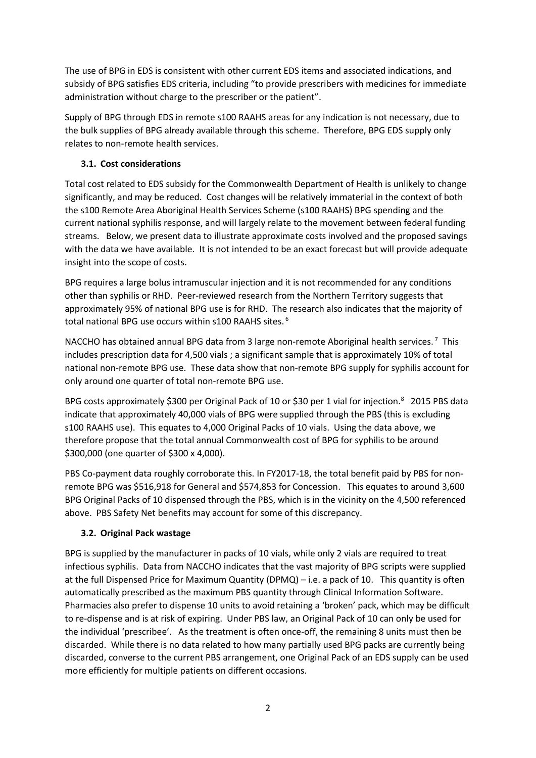The use of BPG in EDS is consistent with other current EDS items and associated indications, and subsidy of BPG satisfies EDS criteria, including "to provide prescribers with medicines for immediate administration without charge to the prescriber or the patient".

Supply of BPG through EDS in remote s100 RAAHS areas for any indication is not necessary, due to the bulk supplies of BPG already available through this scheme. Therefore, BPG EDS supply only relates to non-remote health services.

# **3.1. Cost considerations**

Total cost related to EDS subsidy for the Commonwealth Department of Health is unlikely to change significantly, and may be reduced. Cost changes will be relatively immaterial in the context of both the s100 Remote Area Aboriginal Health Services Scheme (s100 RAAHS) BPG spending and the current national syphilis response, and will largely relate to the movement between federal funding streams. Below, we present data to illustrate approximate costs involved and the proposed savings with the data we have available. It is not intended to be an exact forecast but will provide adequate insight into the scope of costs.

BPG requires a large bolus intramuscular injection and it is not recommended for any conditions other than syphilis or RHD. Peer-reviewed research from the Northern Territory suggests that approximately 95% of national BPG use is for RHD. The research also indicates that the majority of total national BPG use occurs within s100 RAAHS sites.<sup>6</sup>

NACCHO has obtained annual BPG data from 3 large non-remote Aboriginal health services.<sup>7</sup> This includes prescription data for 4,500 vials ; a significant sample that is approximately 10% of total national non-remote BPG use. These data show that non-remote BPG supply for syphilis account for only around one quarter of total non-remote BPG use.

BPG costs approximately \$300 per Original Pack of 10 or \$30 per 1 vial for injection.<sup>8</sup> 2015 PBS data indicate that approximately 40,000 vials of BPG were supplied through the PBS (this is excluding s100 RAAHS use). This equates to 4,000 Original Packs of 10 vials. Using the data above, we therefore propose that the total annual Commonwealth cost of BPG for syphilis to be around \$300,000 (one quarter of \$300 x 4,000).

PBS Co-payment data roughly corroborate this. In FY2017-18, the total benefit paid by PBS for nonremote BPG was \$516,918 for General and \$574,853 for Concession. This equates to around 3,600 BPG Original Packs of 10 dispensed through the PBS, which is in the vicinity on the 4,500 referenced above. PBS Safety Net benefits may account for some of this discrepancy.

#### **3.2. Original Pack wastage**

BPG is supplied by the manufacturer in packs of 10 vials, while only 2 vials are required to treat infectious syphilis. Data from NACCHO indicates that the vast majority of BPG scripts were supplied at the full Dispensed Price for Maximum Quantity (DPMQ) – i.e. a pack of 10. This quantity is often automatically prescribed as the maximum PBS quantity through Clinical Information Software. Pharmacies also prefer to dispense 10 units to avoid retaining a 'broken' pack, which may be difficult to re-dispense and is at risk of expiring. Under PBS law, an Original Pack of 10 can only be used for the individual 'prescribee'. As the treatment is often once-off, the remaining 8 units must then be discarded. While there is no data related to how many partially used BPG packs are currently being discarded, converse to the current PBS arrangement, one Original Pack of an EDS supply can be used more efficiently for multiple patients on different occasions.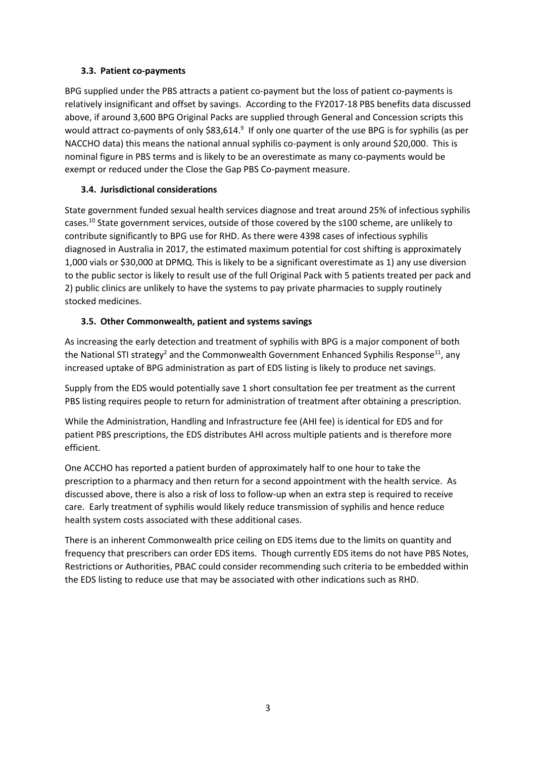#### **3.3. Patient co-payments**

BPG supplied under the PBS attracts a patient co-payment but the loss of patient co-payments is relatively insignificant and offset by savings. According to the FY2017-18 PBS benefits data discussed above, if around 3,600 BPG Original Packs are supplied through General and Concession scripts this would attract co-payments of only \$83,614.<sup>9</sup> If only one quarter of the use BPG is for syphilis (as per NACCHO data) this means the national annual syphilis co-payment is only around \$20,000. This is nominal figure in PBS terms and is likely to be an overestimate as many co-payments would be exempt or reduced under the Close the Gap PBS Co-payment measure.

# **3.4. Jurisdictional considerations**

State government funded sexual health services diagnose and treat around 25% of infectious syphilis cases.<sup>10</sup> State government services, outside of those covered by the s100 scheme, are unlikely to contribute significantly to BPG use for RHD. As there were 4398 cases of infectious syphilis diagnosed in Australia in 2017, the estimated maximum potential for cost shifting is approximately 1,000 vials or \$30,000 at DPMQ. This is likely to be a significant overestimate as 1) any use diversion to the public sector is likely to result use of the full Original Pack with 5 patients treated per pack and 2) public clinics are unlikely to have the systems to pay private pharmacies to supply routinely stocked medicines.

### **3.5. Other Commonwealth, patient and systems savings**

As increasing the early detection and treatment of syphilis with BPG is a major component of both the National STI strategy<sup>[2](#page-0-0)</sup> and the Commonwealth Government Enhanced Syphilis Response<sup>11</sup>, any increased uptake of BPG administration as part of EDS listing is likely to produce net savings.

Supply from the EDS would potentially save 1 short consultation fee per treatment as the current PBS listing requires people to return for administration of treatment after obtaining a prescription.

While the Administration, Handling and Infrastructure fee (AHI fee) is identical for EDS and for patient PBS prescriptions, the EDS distributes AHI across multiple patients and is therefore more efficient.

One ACCHO has reported a patient burden of approximately half to one hour to take the prescription to a pharmacy and then return for a second appointment with the health service. As discussed above, there is also a risk of loss to follow-up when an extra step is required to receive care. Early treatment of syphilis would likely reduce transmission of syphilis and hence reduce health system costs associated with these additional cases.

There is an inherent Commonwealth price ceiling on EDS items due to the limits on quantity and frequency that prescribers can order EDS items. Though currently EDS items do not have PBS Notes, Restrictions or Authorities, PBAC could consider recommending such criteria to be embedded within the EDS listing to reduce use that may be associated with other indications such as RHD.